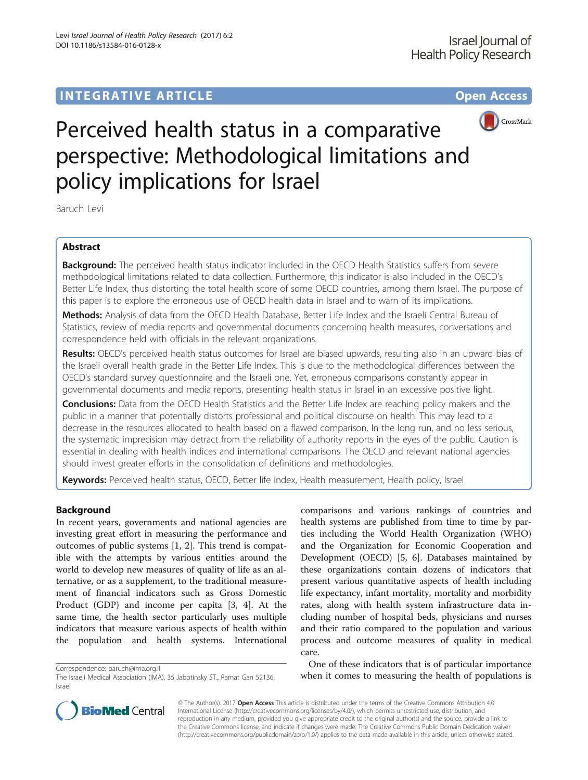

# Perceived health status in a comparative perspective: Methodological limitations and policy implications for Israel

Baruch Levi

# Abstract

**Background:** The perceived health status indicator included in the OECD Health Statistics suffers from severe methodological limitations related to data collection. Furthermore, this indicator is also included in the OECD's Better Life Index, thus distorting the total health score of some OECD countries, among them Israel. The purpose of this paper is to explore the erroneous use of OECD health data in Israel and to warn of its implications.

Methods: Analysis of data from the OECD Health Database, Better Life Index and the Israeli Central Bureau of Statistics, review of media reports and governmental documents concerning health measures, conversations and correspondence held with officials in the relevant organizations.

Results: OECD's perceived health status outcomes for Israel are biased upwards, resulting also in an upward bias of the Israeli overall health grade in the Better Life Index. This is due to the methodological differences between the OECD's standard survey questionnaire and the Israeli one. Yet, erroneous comparisons constantly appear in governmental documents and media reports, presenting health status in Israel in an excessive positive light.

Conclusions: Data from the OECD Health Statistics and the Better Life Index are reaching policy makers and the public in a manner that potentially distorts professional and political discourse on health. This may lead to a decrease in the resources allocated to health based on a flawed comparison. In the long run, and no less serious, the systematic imprecision may detract from the reliability of authority reports in the eyes of the public. Caution is essential in dealing with health indices and international comparisons. The OECD and relevant national agencies should invest greater efforts in the consolidation of definitions and methodologies.

Keywords: Perceived health status, OECD, Better life index, Health measurement, Health policy, Israel

## Background

In recent years, governments and national agencies are investing great effort in measuring the performance and outcomes of public systems [[1, 2](#page-9-0)]. This trend is compatible with the attempts by various entities around the world to develop new measures of quality of life as an alternative, or as a supplement, to the traditional measurement of financial indicators such as Gross Domestic Product (GDP) and income per capita [[3, 4](#page-9-0)]. At the same time, the health sector particularly uses multiple indicators that measure various aspects of health within the population and health systems. International

comparisons and various rankings of countries and health systems are published from time to time by parties including the World Health Organization (WHO) and the Organization for Economic Cooperation and Development (OECD) [[5, 6\]](#page-9-0). Databases maintained by these organizations contain dozens of indicators that present various quantitative aspects of health including life expectancy, infant mortality, mortality and morbidity rates, along with health system infrastructure data including number of hospital beds, physicians and nurses and their ratio compared to the population and various process and outcome measures of quality in medical care.

One of these indicators that is of particular importance Correspondence: [baruch@ima.org.il](mailto:baruch@ima.org.il)<br>The Israeli Medical Association (IMA), 35 Jabotinsky ST., Ramat Gan 52136, **When it comes to measuring the health of populations is** 



© The Author(s). 2017 **Open Access** This article is distributed under the terms of the Creative Commons Attribution 4.0 International License [\(http://creativecommons.org/licenses/by/4.0/](http://creativecommons.org/licenses/by/4.0/)), which permits unrestricted use, distribution, and reproduction in any medium, provided you give appropriate credit to the original author(s) and the source, provide a link to the Creative Commons license, and indicate if changes were made. The Creative Commons Public Domain Dedication waiver [\(http://creativecommons.org/publicdomain/zero/1.0/](http://creativecommons.org/publicdomain/zero/1.0/)) applies to the data made available in this article, unless otherwise stated.

The Israeli Medical Association (IMA), 35 Jabotinsky ST., Ramat Gan 52136, Israel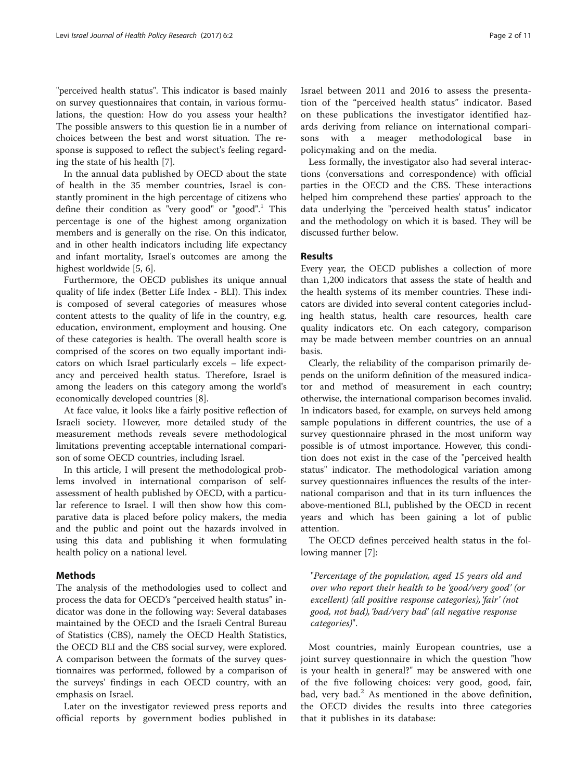"perceived health status". This indicator is based mainly on survey questionnaires that contain, in various formulations, the question: How do you assess your health? The possible answers to this question lie in a number of choices between the best and worst situation. The response is supposed to reflect the subject's feeling regarding the state of his health [[7\]](#page-9-0).

In the annual data published by OECD about the state of health in the 35 member countries, Israel is constantly prominent in the high percentage of citizens who define their condition as "very good" or "good".<sup>1</sup> This percentage is one of the highest among organization members and is generally on the rise. On this indicator, and in other health indicators including life expectancy and infant mortality, Israel's outcomes are among the highest worldwide [\[5](#page-9-0), [6](#page-9-0)].

Furthermore, the OECD publishes its unique annual quality of life index (Better Life Index - BLI). This index is composed of several categories of measures whose content attests to the quality of life in the country, e.g. education, environment, employment and housing. One of these categories is health. The overall health score is comprised of the scores on two equally important indicators on which Israel particularly excels – life expectancy and perceived health status. Therefore, Israel is among the leaders on this category among the world's economically developed countries [\[8](#page-9-0)].

At face value, it looks like a fairly positive reflection of Israeli society. However, more detailed study of the measurement methods reveals severe methodological limitations preventing acceptable international comparison of some OECD countries, including Israel.

In this article, I will present the methodological problems involved in international comparison of selfassessment of health published by OECD, with a particular reference to Israel. I will then show how this comparative data is placed before policy makers, the media and the public and point out the hazards involved in using this data and publishing it when formulating health policy on a national level.

## Methods

The analysis of the methodologies used to collect and process the data for OECD's "perceived health status" indicator was done in the following way: Several databases maintained by the OECD and the Israeli Central Bureau of Statistics (CBS), namely the OECD Health Statistics, the OECD BLI and the CBS social survey, were explored. A comparison between the formats of the survey questionnaires was performed, followed by a comparison of the surveys' findings in each OECD country, with an emphasis on Israel.

Later on the investigator reviewed press reports and official reports by government bodies published in

Israel between 2011 and 2016 to assess the presentation of the "perceived health status" indicator. Based on these publications the investigator identified hazards deriving from reliance on international comparisons with a meager methodological base in policymaking and on the media.

Less formally, the investigator also had several interactions (conversations and correspondence) with official parties in the OECD and the CBS. These interactions helped him comprehend these parties' approach to the data underlying the "perceived health status" indicator and the methodology on which it is based. They will be discussed further below.

## Results

Every year, the OECD publishes a collection of more than 1,200 indicators that assess the state of health and the health systems of its member countries. These indicators are divided into several content categories including health status, health care resources, health care quality indicators etc. On each category, comparison may be made between member countries on an annual basis.

Clearly, the reliability of the comparison primarily depends on the uniform definition of the measured indicator and method of measurement in each country; otherwise, the international comparison becomes invalid. In indicators based, for example, on surveys held among sample populations in different countries, the use of a survey questionnaire phrased in the most uniform way possible is of utmost importance. However, this condition does not exist in the case of the "perceived health status" indicator. The methodological variation among survey questionnaires influences the results of the international comparison and that in its turn influences the above-mentioned BLI, published by the OECD in recent years and which has been gaining a lot of public attention.

The OECD defines perceived health status in the following manner [\[7](#page-9-0)]:

"Percentage of the population, aged 15 years old and over who report their health to be 'good/very good' (or excellent) (all positive response categories), 'fair' (not good, not bad),'bad/very bad' (all negative response categories)".

Most countries, mainly European countries, use a joint survey questionnaire in which the question "how is your health in general?" may be answered with one of the five following choices: very good, good, fair, bad, very bad. $2$  As mentioned in the above definition, the OECD divides the results into three categories that it publishes in its database: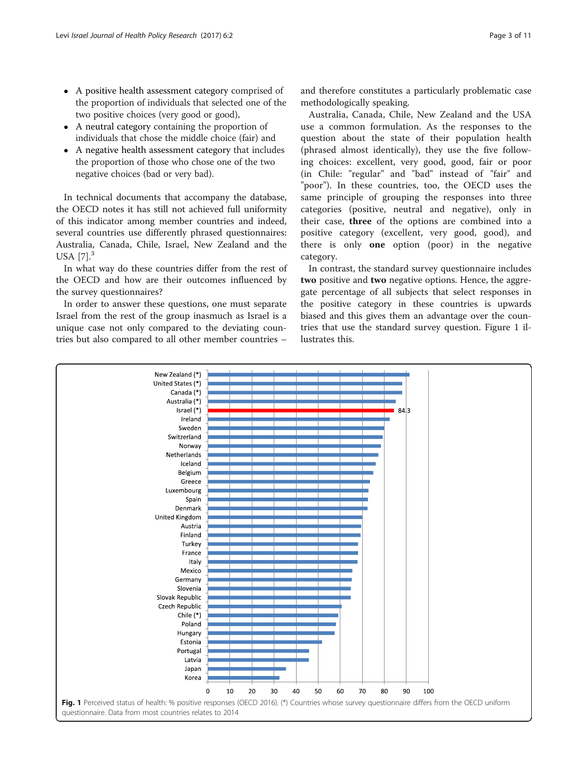- <span id="page-2-0"></span> A positive health assessment category comprised of the proportion of individuals that selected one of the two positive choices (very good or good),
- A neutral category containing the proportion of individuals that chose the middle choice (fair) and
- A negative health assessment category that includes the proportion of those who chose one of the two negative choices (bad or very bad).

In technical documents that accompany the database, the OECD notes it has still not achieved full uniformity of this indicator among member countries and indeed, several countries use differently phrased questionnaires: Australia, Canada, Chile, Israel, New Zealand and the USA  $[7]$  $[7]$ .<sup>3</sup>

In what way do these countries differ from the rest of the OECD and how are their outcomes influenced by the survey questionnaires?

In order to answer these questions, one must separate Israel from the rest of the group inasmuch as Israel is a unique case not only compared to the deviating countries but also compared to all other member countries – and therefore constitutes a particularly problematic case methodologically speaking.

Australia, Canada, Chile, New Zealand and the USA use a common formulation. As the responses to the question about the state of their population health (phrased almost identically), they use the five following choices: excellent, very good, good, fair or poor (in Chile: "regular" and "bad" instead of "fair" and "poor"). In these countries, too, the OECD uses the same principle of grouping the responses into three categories (positive, neutral and negative), only in their case, three of the options are combined into a positive category (excellent, very good, good), and there is only one option (poor) in the negative category.

In contrast, the standard survey questionnaire includes two positive and two negative options. Hence, the aggregate percentage of all subjects that select responses in the positive category in these countries is upwards biased and this gives them an advantage over the countries that use the standard survey question. Figure 1 illustrates this.

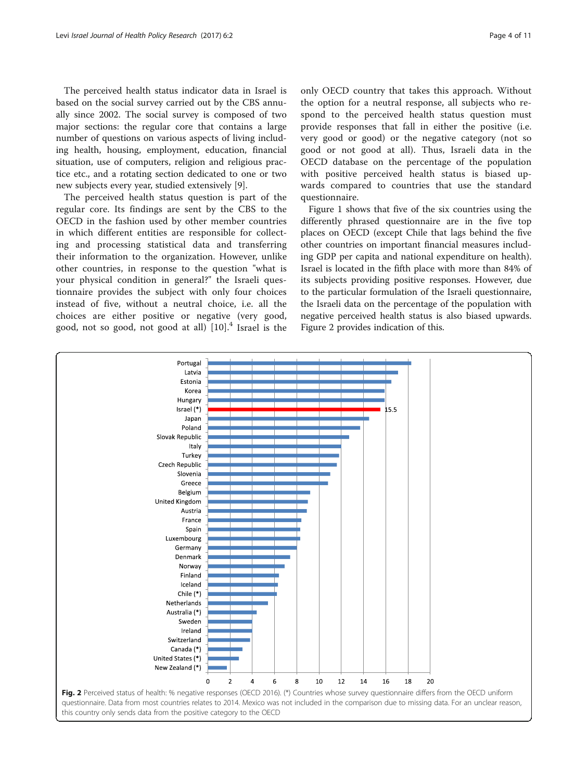The perceived health status indicator data in Israel is based on the social survey carried out by the CBS annually since 2002. The social survey is composed of two major sections: the regular core that contains a large number of questions on various aspects of living including health, housing, employment, education, financial situation, use of computers, religion and religious practice etc., and a rotating section dedicated to one or two new subjects every year, studied extensively [[9\]](#page-9-0).

The perceived health status question is part of the regular core. Its findings are sent by the CBS to the OECD in the fashion used by other member countries in which different entities are responsible for collecting and processing statistical data and transferring their information to the organization. However, unlike other countries, in response to the question "what is your physical condition in general?" the Israeli questionnaire provides the subject with only four choices instead of five, without a neutral choice, i.e. all the choices are either positive or negative (very good, good, not so good, not good at all)  $[10]<sup>4</sup>$  $[10]<sup>4</sup>$  $[10]<sup>4</sup>$  Israel is the only OECD country that takes this approach. Without the option for a neutral response, all subjects who respond to the perceived health status question must provide responses that fall in either the positive (i.e. very good or good) or the negative category (not so good or not good at all). Thus, Israeli data in the OECD database on the percentage of the population with positive perceived health status is biased upwards compared to countries that use the standard questionnaire.

Figure [1](#page-2-0) shows that five of the six countries using the differently phrased questionnaire are in the five top places on OECD (except Chile that lags behind the five other countries on important financial measures including GDP per capita and national expenditure on health). Israel is located in the fifth place with more than 84% of its subjects providing positive responses. However, due to the particular formulation of the Israeli questionnaire, the Israeli data on the percentage of the population with negative perceived health status is also biased upwards. Figure 2 provides indication of this.

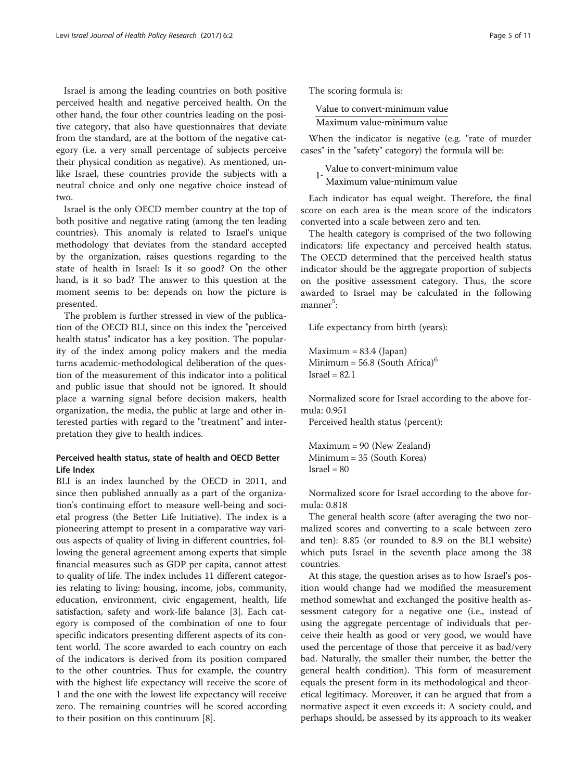Israel is among the leading countries on both positive perceived health and negative perceived health. On the other hand, the four other countries leading on the positive category, that also have questionnaires that deviate from the standard, are at the bottom of the negative category (i.e. a very small percentage of subjects perceive their physical condition as negative). As mentioned, unlike Israel, these countries provide the subjects with a neutral choice and only one negative choice instead of two.

Israel is the only OECD member country at the top of both positive and negative rating (among the ten leading countries). This anomaly is related to Israel's unique methodology that deviates from the standard accepted by the organization, raises questions regarding to the state of health in Israel: Is it so good? On the other hand, is it so bad? The answer to this question at the moment seems to be: depends on how the picture is presented.

The problem is further stressed in view of the publication of the OECD BLI, since on this index the "perceived health status" indicator has a key position. The popularity of the index among policy makers and the media turns academic-methodological deliberation of the question of the measurement of this indicator into a political and public issue that should not be ignored. It should place a warning signal before decision makers, health organization, the media, the public at large and other interested parties with regard to the "treatment" and interpretation they give to health indices.

## Perceived health status, state of health and OECD Better Life Index

BLI is an index launched by the OECD in 2011, and since then published annually as a part of the organization's continuing effort to measure well-being and societal progress (the Better Life Initiative). The index is a pioneering attempt to present in a comparative way various aspects of quality of living in different countries, following the general agreement among experts that simple financial measures such as GDP per capita, cannot attest to quality of life. The index includes 11 different categories relating to living: housing, income, jobs, community, education, environment, civic engagement, health, life satisfaction, safety and work-life balance [[3\]](#page-9-0). Each category is composed of the combination of one to four specific indicators presenting different aspects of its content world. The score awarded to each country on each of the indicators is derived from its position compared to the other countries. Thus for example, the country with the highest life expectancy will receive the score of 1 and the one with the lowest life expectancy will receive zero. The remaining countries will be scored according to their position on this continuum [\[8\]](#page-9-0).

The scoring formula is:

Value to convert‐minimum value Maximum value‐minimum value

When the indicator is negative (e.g. "rate of murder cases" in the "safety" category) the formula will be:

 $1 - \frac{Value to convert-minimum value}{Maximum value when the minimum value$ Maximum value‐minimum value

Each indicator has equal weight. Therefore, the final score on each area is the mean score of the indicators converted into a scale between zero and ten.

The health category is comprised of the two following indicators: life expectancy and perceived health status. The OECD determined that the perceived health status indicator should be the aggregate proportion of subjects on the positive assessment category. Thus, the score awarded to Israel may be calculated in the following manner<sup>5</sup>:

Life expectancy from birth (years):

Maximum = 83.4 (Japan) Minimum =  $56.8$  (South Africa)<sup>6</sup>  $Israel = 82.1$ 

Normalized score for Israel according to the above formula: 0.951

Perceived health status (percent):

Maximum = 90 (New Zealand) Minimum = 35 (South Korea)  $Israel = 80$ 

Normalized score for Israel according to the above formula: 0.818

The general health score (after averaging the two normalized scores and converting to a scale between zero and ten): 8.85 (or rounded to 8.9 on the BLI website) which puts Israel in the seventh place among the 38 countries.

At this stage, the question arises as to how Israel's position would change had we modified the measurement method somewhat and exchanged the positive health assessment category for a negative one (i.e., instead of using the aggregate percentage of individuals that perceive their health as good or very good, we would have used the percentage of those that perceive it as bad/very bad. Naturally, the smaller their number, the better the general health condition). This form of measurement equals the present form in its methodological and theoretical legitimacy. Moreover, it can be argued that from a normative aspect it even exceeds it: A society could, and perhaps should, be assessed by its approach to its weaker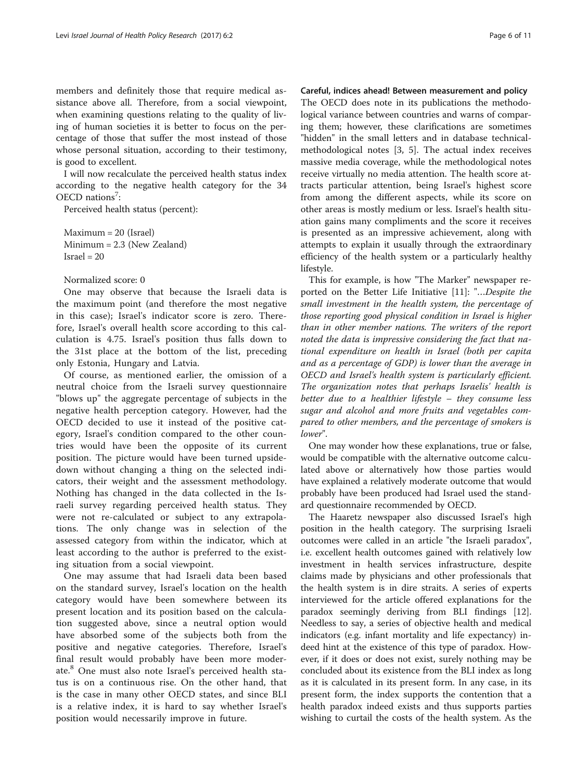members and definitely those that require medical assistance above all. Therefore, from a social viewpoint, when examining questions relating to the quality of living of human societies it is better to focus on the percentage of those that suffer the most instead of those whose personal situation, according to their testimony, is good to excellent.

I will now recalculate the perceived health status index according to the negative health category for the 34 OECD nations<sup>7</sup>:

Perceived health status (percent):

Maximum = 20 (Israel) Minimum = 2.3 (New Zealand) Israel  $= 20$ 

Normalized score: 0

One may observe that because the Israeli data is the maximum point (and therefore the most negative in this case); Israel's indicator score is zero. Therefore, Israel's overall health score according to this calculation is 4.75. Israel's position thus falls down to the 31st place at the bottom of the list, preceding only Estonia, Hungary and Latvia.

Of course, as mentioned earlier, the omission of a neutral choice from the Israeli survey questionnaire "blows up" the aggregate percentage of subjects in the negative health perception category. However, had the OECD decided to use it instead of the positive category, Israel's condition compared to the other countries would have been the opposite of its current position. The picture would have been turned upsidedown without changing a thing on the selected indicators, their weight and the assessment methodology. Nothing has changed in the data collected in the Israeli survey regarding perceived health status. They were not re-calculated or subject to any extrapolations. The only change was in selection of the assessed category from within the indicator, which at least according to the author is preferred to the existing situation from a social viewpoint.

One may assume that had Israeli data been based on the standard survey, Israel's location on the health category would have been somewhere between its present location and its position based on the calculation suggested above, since a neutral option would have absorbed some of the subjects both from the positive and negative categories. Therefore, Israel's final result would probably have been more moderate.<sup>8</sup> One must also note Israel's perceived health status is on a continuous rise. On the other hand, that is the case in many other OECD states, and since BLI is a relative index, it is hard to say whether Israel's position would necessarily improve in future.

Careful, indices ahead! Between measurement and policy

The OECD does note in its publications the methodological variance between countries and warns of comparing them; however, these clarifications are sometimes "hidden" in the small letters and in database technicalmethodological notes [\[3](#page-9-0), [5\]](#page-9-0). The actual index receives massive media coverage, while the methodological notes receive virtually no media attention. The health score attracts particular attention, being Israel's highest score from among the different aspects, while its score on other areas is mostly medium or less. Israel's health situation gains many compliments and the score it receives is presented as an impressive achievement, along with attempts to explain it usually through the extraordinary efficiency of the health system or a particularly healthy lifestyle.

This for example, is how "The Marker" newspaper reported on the Better Life Initiative [[11](#page-9-0)]: "…Despite the small investment in the health system, the percentage of those reporting good physical condition in Israel is higher than in other member nations. The writers of the report noted the data is impressive considering the fact that national expenditure on health in Israel (both per capita and as a percentage of GDP) is lower than the average in OECD and Israel's health system is particularly efficient. The organization notes that perhaps Israelis' health is better due to a healthier lifestyle – they consume less sugar and alcohol and more fruits and vegetables compared to other members, and the percentage of smokers is lower".

One may wonder how these explanations, true or false, would be compatible with the alternative outcome calculated above or alternatively how those parties would have explained a relatively moderate outcome that would probably have been produced had Israel used the standard questionnaire recommended by OECD.

The Haaretz newspaper also discussed Israel's high position in the health category. The surprising Israeli outcomes were called in an article "the Israeli paradox", i.e. excellent health outcomes gained with relatively low investment in health services infrastructure, despite claims made by physicians and other professionals that the health system is in dire straits. A series of experts interviewed for the article offered explanations for the paradox seemingly deriving from BLI findings [\[12](#page-9-0)]. Needless to say, a series of objective health and medical indicators (e.g. infant mortality and life expectancy) indeed hint at the existence of this type of paradox. However, if it does or does not exist, surely nothing may be concluded about its existence from the BLI index as long as it is calculated in its present form. In any case, in its present form, the index supports the contention that a health paradox indeed exists and thus supports parties wishing to curtail the costs of the health system. As the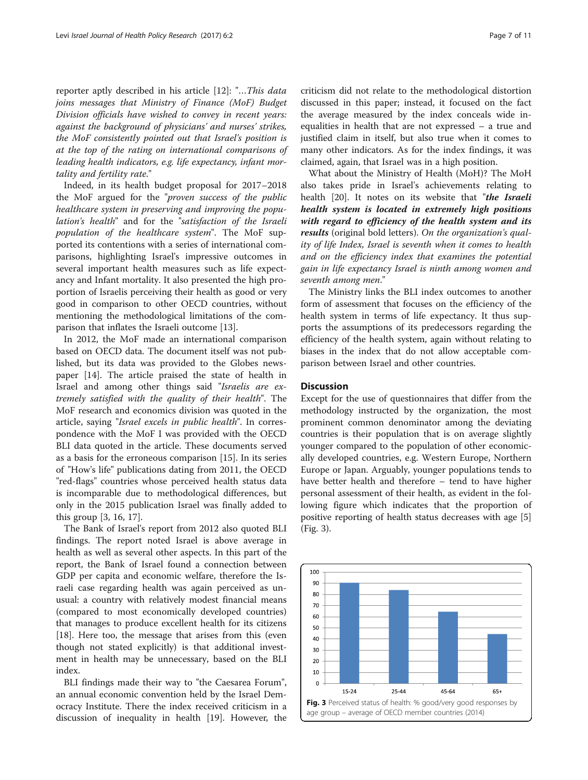reporter aptly described in his article [\[12](#page-9-0)]: "…This data joins messages that Ministry of Finance (MoF) Budget Division officials have wished to convey in recent years: against the background of physicians' and nurses' strikes, the MoF consistently pointed out that Israel's position is at the top of the rating on international comparisons of leading health indicators, e.g. life expectancy, infant mortality and fertility rate."

Indeed, in its health budget proposal for 2017–2018 the MoF argued for the "proven success of the public healthcare system in preserving and improving the population's health" and for the "satisfaction of the Israeli population of the healthcare system". The MoF supported its contentions with a series of international comparisons, highlighting Israel's impressive outcomes in several important health measures such as life expectancy and Infant mortality. It also presented the high proportion of Israelis perceiving their health as good or very good in comparison to other OECD countries, without mentioning the methodological limitations of the comparison that inflates the Israeli outcome [\[13\]](#page-9-0).

In 2012, the MoF made an international comparison based on OECD data. The document itself was not published, but its data was provided to the Globes newspaper [\[14\]](#page-10-0). The article praised the state of health in Israel and among other things said "Israelis are extremely satisfied with the quality of their health". The MoF research and economics division was quoted in the article, saying "Israel excels in public health". In correspondence with the MoF I was provided with the OECD BLI data quoted in the article. These documents served as a basis for the erroneous comparison [[15\]](#page-10-0). In its series of "How's life" publications dating from 2011, the OECD "red-flags" countries whose perceived health status data is incomparable due to methodological differences, but only in the 2015 publication Israel was finally added to this group [[3,](#page-9-0) [16](#page-10-0), [17](#page-10-0)].

The Bank of Israel's report from 2012 also quoted BLI findings. The report noted Israel is above average in health as well as several other aspects. In this part of the report, the Bank of Israel found a connection between GDP per capita and economic welfare, therefore the Israeli case regarding health was again perceived as unusual: a country with relatively modest financial means (compared to most economically developed countries) that manages to produce excellent health for its citizens [[18\]](#page-10-0). Here too, the message that arises from this (even though not stated explicitly) is that additional investment in health may be unnecessary, based on the BLI index.

BLI findings made their way to "the Caesarea Forum", an annual economic convention held by the Israel Democracy Institute. There the index received criticism in a discussion of inequality in health [[19](#page-10-0)]. However, the

criticism did not relate to the methodological distortion discussed in this paper; instead, it focused on the fact the average measured by the index conceals wide inequalities in health that are not expressed – a true and justified claim in itself, but also true when it comes to many other indicators. As for the index findings, it was claimed, again, that Israel was in a high position.

What about the Ministry of Health (MoH)? The MoH also takes pride in Israel's achievements relating to health [[20\]](#page-10-0). It notes on its website that "the Israeli health system is located in extremely high positions with regard to efficiency of the health system and its results (original bold letters). On the organization's quality of life Index, Israel is seventh when it comes to health and on the efficiency index that examines the potential gain in life expectancy Israel is ninth among women and seventh among men."

The Ministry links the BLI index outcomes to another form of assessment that focuses on the efficiency of the health system in terms of life expectancy. It thus supports the assumptions of its predecessors regarding the efficiency of the health system, again without relating to biases in the index that do not allow acceptable comparison between Israel and other countries.

## **Discussion**

Except for the use of questionnaires that differ from the methodology instructed by the organization, the most prominent common denominator among the deviating countries is their population that is on average slightly younger compared to the population of other economically developed countries, e.g. Western Europe, Northern Europe or Japan. Arguably, younger populations tends to have better health and therefore – tend to have higher personal assessment of their health, as evident in the following figure which indicates that the proportion of positive reporting of health status decreases with age [\[5](#page-9-0)] (Fig. 3).

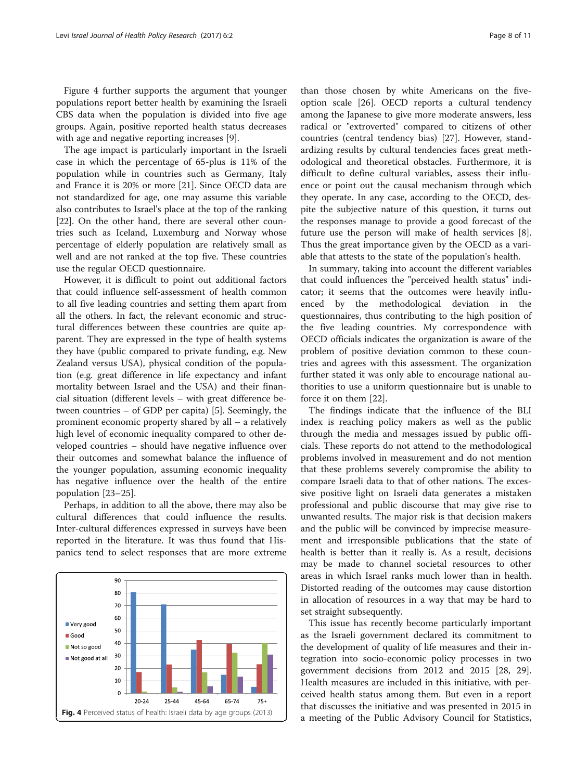Figure 4 further supports the argument that younger populations report better health by examining the Israeli CBS data when the population is divided into five age groups. Again, positive reported health status decreases with age and negative reporting increases [\[9](#page-9-0)].

The age impact is particularly important in the Israeli case in which the percentage of 65-plus is 11% of the population while in countries such as Germany, Italy and France it is 20% or more [[21\]](#page-10-0). Since OECD data are not standardized for age, one may assume this variable also contributes to Israel's place at the top of the ranking [[22\]](#page-10-0). On the other hand, there are several other countries such as Iceland, Luxemburg and Norway whose percentage of elderly population are relatively small as well and are not ranked at the top five. These countries use the regular OECD questionnaire.

However, it is difficult to point out additional factors that could influence self-assessment of health common to all five leading countries and setting them apart from all the others. In fact, the relevant economic and structural differences between these countries are quite apparent. They are expressed in the type of health systems they have (public compared to private funding, e.g. New Zealand versus USA), physical condition of the population (e.g. great difference in life expectancy and infant mortality between Israel and the USA) and their financial situation (different levels – with great difference between countries – of GDP per capita) [[5\]](#page-9-0). Seemingly, the prominent economic property shared by all – a relatively high level of economic inequality compared to other developed countries – should have negative influence over their outcomes and somewhat balance the influence of the younger population, assuming economic inequality has negative influence over the health of the entire population [[23](#page-10-0)–[25](#page-10-0)].

Perhaps, in addition to all the above, there may also be cultural differences that could influence the results. Inter-cultural differences expressed in surveys have been reported in the literature. It was thus found that Hispanics tend to select responses that are more extreme



than those chosen by white Americans on the fiveoption scale [[26](#page-10-0)]. OECD reports a cultural tendency among the Japanese to give more moderate answers, less radical or "extroverted" compared to citizens of other countries (central tendency bias) [[27\]](#page-10-0). However, standardizing results by cultural tendencies faces great methodological and theoretical obstacles. Furthermore, it is difficult to define cultural variables, assess their influence or point out the causal mechanism through which they operate. In any case, according to the OECD, despite the subjective nature of this question, it turns out the responses manage to provide a good forecast of the future use the person will make of health services [\[8](#page-9-0)]. Thus the great importance given by the OECD as a variable that attests to the state of the population's health.

In summary, taking into account the different variables that could influences the "perceived health status" indicator; it seems that the outcomes were heavily influenced by the methodological deviation in the questionnaires, thus contributing to the high position of the five leading countries. My correspondence with OECD officials indicates the organization is aware of the problem of positive deviation common to these countries and agrees with this assessment. The organization further stated it was only able to encourage national authorities to use a uniform questionnaire but is unable to force it on them [\[22](#page-10-0)].

The findings indicate that the influence of the BLI index is reaching policy makers as well as the public through the media and messages issued by public officials. These reports do not attend to the methodological problems involved in measurement and do not mention that these problems severely compromise the ability to compare Israeli data to that of other nations. The excessive positive light on Israeli data generates a mistaken professional and public discourse that may give rise to unwanted results. The major risk is that decision makers and the public will be convinced by imprecise measurement and irresponsible publications that the state of health is better than it really is. As a result, decisions may be made to channel societal resources to other areas in which Israel ranks much lower than in health. Distorted reading of the outcomes may cause distortion in allocation of resources in a way that may be hard to set straight subsequently.

This issue has recently become particularly important as the Israeli government declared its commitment to the development of quality of life measures and their integration into socio-economic policy processes in two government decisions from 2012 and 2015 [\[28](#page-10-0), [29](#page-10-0)]. Health measures are included in this initiative, with perceived health status among them. But even in a report that discusses the initiative and was presented in 2015 in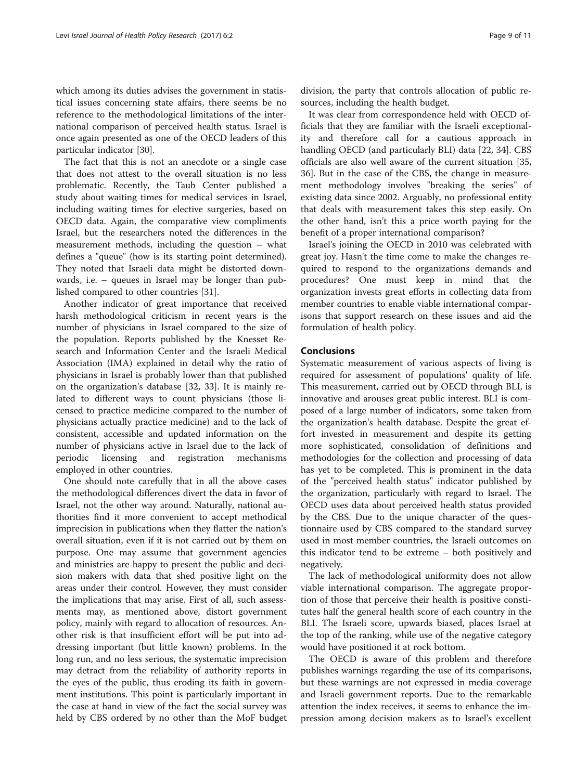which among its duties advises the government in statistical issues concerning state affairs, there seems be no reference to the methodological limitations of the international comparison of perceived health status. Israel is once again presented as one of the OECD leaders of this particular indicator [[30](#page-10-0)].

The fact that this is not an anecdote or a single case that does not attest to the overall situation is no less problematic. Recently, the Taub Center published a study about waiting times for medical services in Israel, including waiting times for elective surgeries, based on OECD data. Again, the comparative view compliments Israel, but the researchers noted the differences in the measurement methods, including the question – what defines a "queue" (how is its starting point determined). They noted that Israeli data might be distorted downwards, i.e. – queues in Israel may be longer than published compared to other countries [[31\]](#page-10-0).

Another indicator of great importance that received harsh methodological criticism in recent years is the number of physicians in Israel compared to the size of the population. Reports published by the Knesset Research and Information Center and the Israeli Medical Association (IMA) explained in detail why the ratio of physicians in Israel is probably lower than that published on the organization's database [\[32, 33\]](#page-10-0). It is mainly related to different ways to count physicians (those licensed to practice medicine compared to the number of physicians actually practice medicine) and to the lack of consistent, accessible and updated information on the number of physicians active in Israel due to the lack of periodic licensing and registration mechanisms employed in other countries.

One should note carefully that in all the above cases the methodological differences divert the data in favor of Israel, not the other way around. Naturally, national authorities find it more convenient to accept methodical imprecision in publications when they flatter the nation's overall situation, even if it is not carried out by them on purpose. One may assume that government agencies and ministries are happy to present the public and decision makers with data that shed positive light on the areas under their control. However, they must consider the implications that may arise. First of all, such assessments may, as mentioned above, distort government policy, mainly with regard to allocation of resources. Another risk is that insufficient effort will be put into addressing important (but little known) problems. In the long run, and no less serious, the systematic imprecision may detract from the reliability of authority reports in the eyes of the public, thus eroding its faith in government institutions. This point is particularly important in the case at hand in view of the fact the social survey was held by CBS ordered by no other than the MoF budget

division, the party that controls allocation of public resources, including the health budget.

It was clear from correspondence held with OECD officials that they are familiar with the Israeli exceptionality and therefore call for a cautious approach in handling OECD (and particularly BLI) data [[22, 34\]](#page-10-0). CBS officials are also well aware of the current situation [[35](#page-10-0), [36\]](#page-10-0). But in the case of the CBS, the change in measurement methodology involves "breaking the series" of existing data since 2002. Arguably, no professional entity that deals with measurement takes this step easily. On the other hand, isn't this a price worth paying for the benefit of a proper international comparison?

Israel's joining the OECD in 2010 was celebrated with great joy. Hasn't the time come to make the changes required to respond to the organizations demands and procedures? One must keep in mind that the organization invests great efforts in collecting data from member countries to enable viable international comparisons that support research on these issues and aid the formulation of health policy.

## Conclusions

Systematic measurement of various aspects of living is required for assessment of populations' quality of life. This measurement, carried out by OECD through BLI, is innovative and arouses great public interest. BLI is composed of a large number of indicators, some taken from the organization's health database. Despite the great effort invested in measurement and despite its getting more sophisticated, consolidation of definitions and methodologies for the collection and processing of data has yet to be completed. This is prominent in the data of the "perceived health status" indicator published by the organization, particularly with regard to Israel. The OECD uses data about perceived health status provided by the CBS. Due to the unique character of the questionnaire used by CBS compared to the standard survey used in most member countries, the Israeli outcomes on this indicator tend to be extreme – both positively and negatively.

The lack of methodological uniformity does not allow viable international comparison. The aggregate proportion of those that perceive their health is positive constitutes half the general health score of each country in the BLI. The Israeli score, upwards biased, places Israel at the top of the ranking, while use of the negative category would have positioned it at rock bottom.

The OECD is aware of this problem and therefore publishes warnings regarding the use of its comparisons, but these warnings are not expressed in media coverage and Israeli government reports. Due to the remarkable attention the index receives, it seems to enhance the impression among decision makers as to Israel's excellent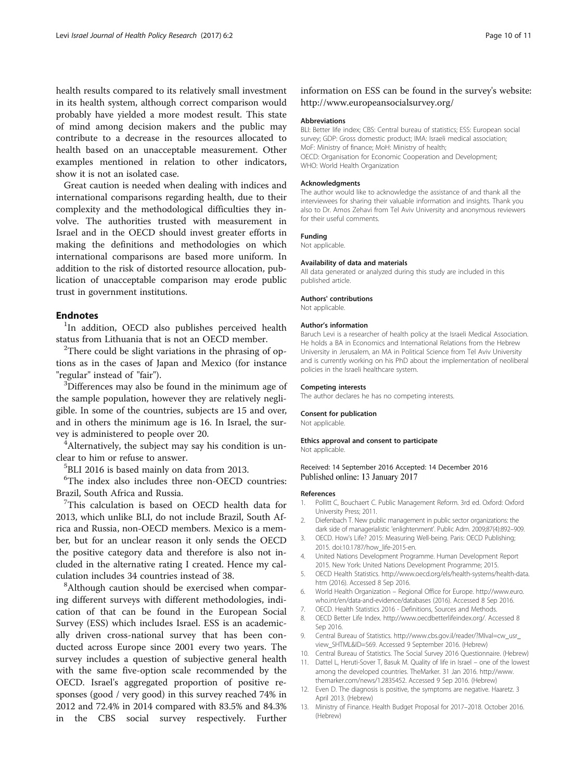<span id="page-9-0"></span>health results compared to its relatively small investment in its health system, although correct comparison would probably have yielded a more modest result. This state of mind among decision makers and the public may contribute to a decrease in the resources allocated to health based on an unacceptable measurement. Other examples mentioned in relation to other indicators, show it is not an isolated case.

Great caution is needed when dealing with indices and international comparisons regarding health, due to their complexity and the methodological difficulties they involve. The authorities trusted with measurement in Israel and in the OECD should invest greater efforts in making the definitions and methodologies on which international comparisons are based more uniform. In addition to the risk of distorted resource allocation, publication of unacceptable comparison may erode public trust in government institutions.

## **Endnotes**

<sup>1</sup>In addition, OECD also publishes perceived health status from Lithuania that is not an OECD member. <sup>2</sup>

<sup>2</sup>There could be slight variations in the phrasing of options as in the cases of Japan and Mexico (for instance "regular" instead of "fair"). <sup>3</sup>

<sup>3</sup>Differences may also be found in the minimum age of the sample population, however they are relatively negligible. In some of the countries, subjects are 15 and over, and in others the minimum age is 16. In Israel, the survey is administered to people over 20. <sup>4</sup>

<sup>4</sup> Alternatively, the subject may say his condition is unclear to him or refuse to answer.

<sup>5</sup>BLI 2016 is based mainly on data from 2013.

6 The index also includes three non-OECD countries: Brazil, South Africa and Russia. <sup>7</sup>

<sup>7</sup>This calculation is based on OECD health data for 2013, which unlike BLI, do not include Brazil, South Africa and Russia, non-OECD members. Mexico is a member, but for an unclear reason it only sends the OECD the positive category data and therefore is also not included in the alternative rating I created. Hence my calculation includes 34 countries instead of 38.

<sup>8</sup>Although caution should be exercised when comparing different surveys with different methodologies, indication of that can be found in the European Social Survey (ESS) which includes Israel. ESS is an academically driven cross-national survey that has been conducted across Europe since 2001 every two years. The survey includes a question of subjective general health with the same five-option scale recommended by the OECD. Israel's aggregated proportion of positive responses (good / very good) in this survey reached 74% in 2012 and 72.4% in 2014 compared with 83.5% and 84.3% in the CBS social survey respectively. Further

## information on ESS can be found in the survey's website: <http://www.europeansocialsurvey.org/>

#### Abbreviations

BLI: Better life index; CBS: Central bureau of statistics; ESS: European social survey; GDP: Gross domestic product; IMA: Israeli medical association; MoF: Ministry of finance; MoH: Ministry of health; OECD: Organisation for Economic Cooperation and Development; WHO: World Health Organization

#### Acknowledgments

The author would like to acknowledge the assistance of and thank all the interviewees for sharing their valuable information and insights. Thank you also to Dr. Amos Zehavi from Tel Aviv University and anonymous reviewers for their useful comments.

## Funding

Not applicable.

#### Availability of data and materials

All data generated or analyzed during this study are included in this published article.

#### Authors' contributions

Not applicable.

#### Author's information

Baruch Levi is a researcher of health policy at the Israeli Medical Association. He holds a BA in Economics and International Relations from the Hebrew University in Jerusalem, an MA in Political Science from Tel Aviv University and is currently working on his PhD about the implementation of neoliberal policies in the Israeli healthcare system.

#### Competing interests

The author declares he has no competing interests.

### Consent for publication

Not applicable.

#### Ethics approval and consent to participate Not applicable.

### Received: 14 September 2016 Accepted: 14 December 2016 Published online: 13 January 2017

#### References

- 1. Pollitt C, Bouchaert C. Public Management Reform. 3rd ed. Oxford: Oxford University Press; 2011.
- 2. Diefenbach T. New public management in public sector organizations: the dark side of managerialistic 'enlightenment'. Public Adm. 2009;87(4):892–909.
- 3. OECD. How's Life? 2015: Measuring Well-being. Paris: OECD Publishing; 2015. doi[:10.1787/how\\_life-2015-en.](http://dx.doi.org/10.1787/how_life-2015-en)
- 4. United Nations Development Programme. Human Development Report 2015. New York: United Nations Development Programme; 2015.
- 5. OECD Health Statistics. [http://www.oecd.org/els/health-systems/health-data.](http://www.oecd.org/els/health-systems/health-data.htm) [htm](http://www.oecd.org/els/health-systems/health-data.htm) (2016). Accessed 8 Sep 2016.
- 6. World Health Organization Regional Office for Europe. [http://www.euro.](http://www.euro.who.int/en/data-and-evidence/databases) [who.int/en/data-and-evidence/databases](http://www.euro.who.int/en/data-and-evidence/databases) (2016). Accessed 8 Sep 2016.
- 7. OECD. Health Statistics 2016 Definitions, Sources and Methods.
- 8. OECD Better Life Index.<http://www.oecdbetterlifeindex.org/>. Accessed 8 Sep 2016.
- 9. Central Bureau of Statistics. [http://www.cbs.gov.il/reader/?MIval=cw\\_usr\\_](http://www.cbs.gov.il/reader/?MIval=cw_usr_view_SHTML&ID=569) [view\\_SHTML&ID=569.](http://www.cbs.gov.il/reader/?MIval=cw_usr_view_SHTML&ID=569) Accessed 9 September 2016. (Hebrew)
- 10. Central Bureau of Statistics. The Social Survey 2016 Questionnaire. (Hebrew)
- 11. Dattel L, Heruti-Sover T, Basuk M. Quality of life in Israel one of the lowest among the developed countries. TheMarker. 31 Jan 2016. [http://www.](http://www.themarker.com/news/1.2835452) [themarker.com/news/1.2835452.](http://www.themarker.com/news/1.2835452) Accessed 9 Sep 2016. (Hebrew)
- 12. Even D. The diagnosis is positive, the symptoms are negative. Haaretz. 3 April 2013. (Hebrew)
- 13. Ministry of Finance. Health Budget Proposal for 2017–2018. October 2016. (Hebrew)